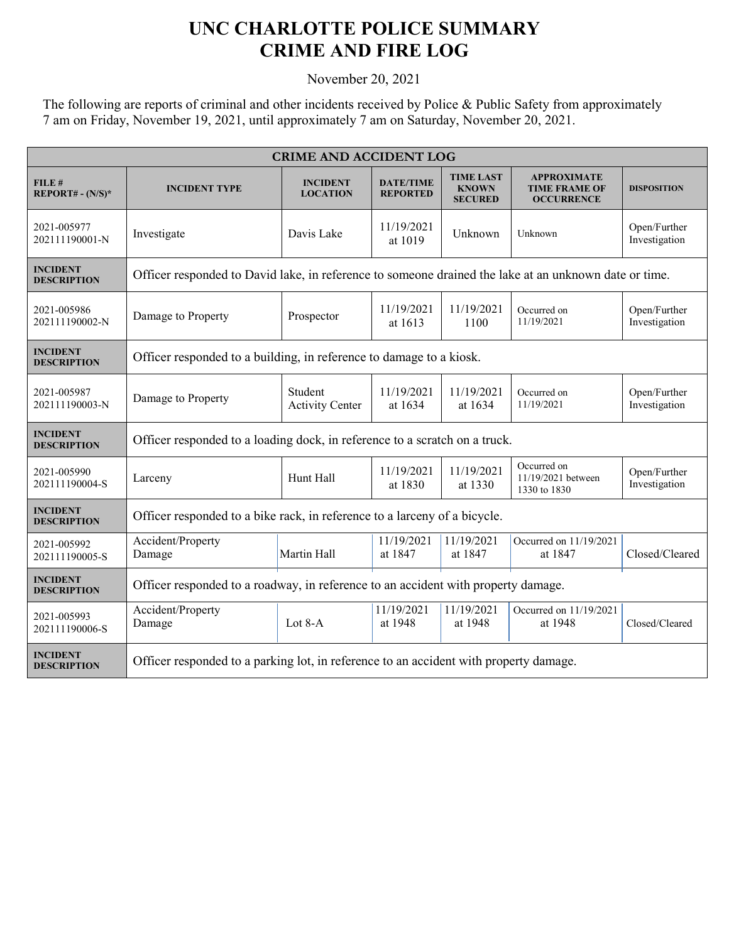## **UNC CHARLOTTE POLICE SUMMARY CRIME AND FIRE LOG**

November 20, 2021

The following are reports of criminal and other incidents received by Police & Public Safety from approximately 7 am on Friday, November 19, 2021, until approximately 7 am on Saturday, November 20, 2021.

| <b>CRIME AND ACCIDENT LOG</b>         |                                                                                                       |                                    |                                     |                                                    |                                                                 |                               |  |  |
|---------------------------------------|-------------------------------------------------------------------------------------------------------|------------------------------------|-------------------------------------|----------------------------------------------------|-----------------------------------------------------------------|-------------------------------|--|--|
| FILE#<br>$REPORT# - (N/S)*$           | <b>INCIDENT TYPE</b>                                                                                  | <b>INCIDENT</b><br><b>LOCATION</b> | <b>DATE/TIME</b><br><b>REPORTED</b> | <b>TIME LAST</b><br><b>KNOWN</b><br><b>SECURED</b> | <b>APPROXIMATE</b><br><b>TIME FRAME OF</b><br><b>OCCURRENCE</b> | <b>DISPOSITION</b>            |  |  |
| 2021-005977<br>202111190001-N         | Investigate                                                                                           | Davis Lake                         | 11/19/2021<br>at 1019               | Unknown                                            | Unknown                                                         | Open/Further<br>Investigation |  |  |
| <b>INCIDENT</b><br><b>DESCRIPTION</b> | Officer responded to David lake, in reference to someone drained the lake at an unknown date or time. |                                    |                                     |                                                    |                                                                 |                               |  |  |
| 2021-005986<br>202111190002-N         | Damage to Property                                                                                    | Prospector                         | 11/19/2021<br>at 1613               | 11/19/2021<br>1100                                 | Occurred on<br>11/19/2021                                       | Open/Further<br>Investigation |  |  |
| <b>INCIDENT</b><br><b>DESCRIPTION</b> | Officer responded to a building, in reference to damage to a kiosk.                                   |                                    |                                     |                                                    |                                                                 |                               |  |  |
| 2021-005987<br>202111190003-N         | Damage to Property                                                                                    | Student<br><b>Activity Center</b>  | 11/19/2021<br>at 1634               | 11/19/2021<br>at 1634                              | Occurred on<br>11/19/2021                                       | Open/Further<br>Investigation |  |  |
| <b>INCIDENT</b><br><b>DESCRIPTION</b> | Officer responded to a loading dock, in reference to a scratch on a truck.                            |                                    |                                     |                                                    |                                                                 |                               |  |  |
| 2021-005990<br>202111190004-S         | Larceny                                                                                               | Hunt Hall                          | 11/19/2021<br>at 1830               | 11/19/2021<br>at 1330                              | Occurred on<br>11/19/2021 between<br>1330 to 1830               | Open/Further<br>Investigation |  |  |
| <b>INCIDENT</b><br><b>DESCRIPTION</b> | Officer responded to a bike rack, in reference to a larceny of a bicycle.                             |                                    |                                     |                                                    |                                                                 |                               |  |  |
| 2021-005992<br>202111190005-S         | Accident/Property<br>Damage                                                                           | Martin Hall                        | 11/19/2021<br>at 1847               | 11/19/2021<br>at 1847                              | Occurred on 11/19/2021<br>at 1847                               | Closed/Cleared                |  |  |
| <b>INCIDENT</b><br><b>DESCRIPTION</b> | Officer responded to a roadway, in reference to an accident with property damage.                     |                                    |                                     |                                                    |                                                                 |                               |  |  |
| 2021-005993<br>202111190006-S         | Accident/Property<br>Damage                                                                           | Lot 8-A                            | 11/19/2021<br>at 1948               | 11/19/2021<br>at 1948                              | Occurred on 11/19/2021<br>at 1948                               | Closed/Cleared                |  |  |
| <b>INCIDENT</b><br><b>DESCRIPTION</b> | Officer responded to a parking lot, in reference to an accident with property damage.                 |                                    |                                     |                                                    |                                                                 |                               |  |  |